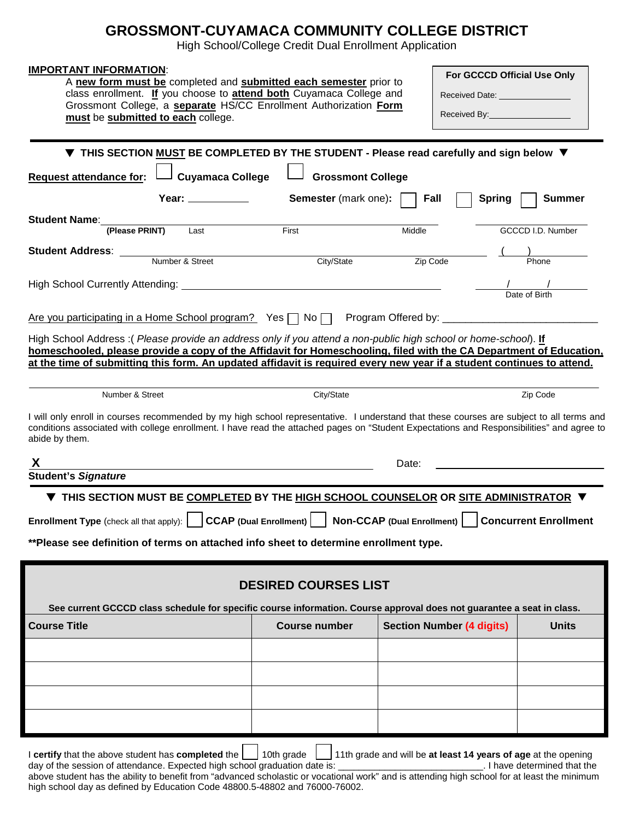## **GROSSMONT-CUYAMACA COMMUNITY COLLEGE DISTRICT**

High School/College Credit Dual Enrollment Application

| <b>IMPORTANT INFORMATION:</b><br>A new form must be completed and submitted each semester prior to<br>class enrollment. If you choose to attend both Cuyamaca College and<br>Grossmont College, a separate HS/CC Enrollment Authorization Form<br>must be submitted to each college.                                                                            |                      |                                  | For GCCCD Official Use Only<br>Received Date: _________________<br>Received By: The Contract of the Contract of the Contract of the Contract of the Contract of the Contract of the Contract of the Contract of the Contract of the Contract of the Contract of the Contract of the Contract of t |                             |  |  |  |
|-----------------------------------------------------------------------------------------------------------------------------------------------------------------------------------------------------------------------------------------------------------------------------------------------------------------------------------------------------------------|----------------------|----------------------------------|---------------------------------------------------------------------------------------------------------------------------------------------------------------------------------------------------------------------------------------------------------------------------------------------------|-----------------------------|--|--|--|
| ▼ THIS SECTION MUST BE COMPLETED BY THE STUDENT - Please read carefully and sign below ▼                                                                                                                                                                                                                                                                        |                      |                                  |                                                                                                                                                                                                                                                                                                   |                             |  |  |  |
| <b>Cuyamaca College</b><br><b>Grossmont College</b><br><b>Request attendance for:</b>                                                                                                                                                                                                                                                                           |                      |                                  |                                                                                                                                                                                                                                                                                                   |                             |  |  |  |
| Year: $\frac{1}{\sqrt{1-\frac{1}{2}}\cdot\frac{1}{2}}$<br><b>Semester</b> (mark one):<br><b>Spring</b><br>∣ Fall<br><b>Summer</b>                                                                                                                                                                                                                               |                      |                                  |                                                                                                                                                                                                                                                                                                   |                             |  |  |  |
| Student Name:                                                                                                                                                                                                                                                                                                                                                   |                      |                                  |                                                                                                                                                                                                                                                                                                   |                             |  |  |  |
| (Please PRINT)<br>Last                                                                                                                                                                                                                                                                                                                                          | First                | Middle                           |                                                                                                                                                                                                                                                                                                   | GCCCD I.D. Number           |  |  |  |
| <b>Student Address:</b><br>Number & Street                                                                                                                                                                                                                                                                                                                      | City/State           | Zip Code                         |                                                                                                                                                                                                                                                                                                   | Phone                       |  |  |  |
|                                                                                                                                                                                                                                                                                                                                                                 |                      |                                  |                                                                                                                                                                                                                                                                                                   |                             |  |  |  |
|                                                                                                                                                                                                                                                                                                                                                                 |                      |                                  |                                                                                                                                                                                                                                                                                                   | $\frac{1}{2}$ Date of Birth |  |  |  |
| Are you participating in a Home School program? Yes □ No □ Program Offered by: ________________________________                                                                                                                                                                                                                                                 |                      |                                  |                                                                                                                                                                                                                                                                                                   |                             |  |  |  |
| High School Address: (Please provide an address only if you attend a non-public high school or home-school). If<br>homeschooled, please provide a copy of the Affidavit for Homeschooling, filed with the CA Department of Education,<br>at the time of submitting this form. An updated affidavit is required every new year if a student continues to attend. |                      |                                  |                                                                                                                                                                                                                                                                                                   |                             |  |  |  |
|                                                                                                                                                                                                                                                                                                                                                                 |                      |                                  |                                                                                                                                                                                                                                                                                                   |                             |  |  |  |
| Number & Street                                                                                                                                                                                                                                                                                                                                                 | City/State           |                                  |                                                                                                                                                                                                                                                                                                   | Zip Code                    |  |  |  |
| I will only enroll in courses recommended by my high school representative. I understand that these courses are subject to all terms and<br>conditions associated with college enrollment. I have read the attached pages on "Student Expectations and Responsibilities" and agree to<br>abide by them.                                                         |                      |                                  |                                                                                                                                                                                                                                                                                                   |                             |  |  |  |
| Date:<br><u> 1989 - Johann Stoff, Amerikaansk politiker († 1908)</u>                                                                                                                                                                                                                                                                                            |                      |                                  |                                                                                                                                                                                                                                                                                                   |                             |  |  |  |
| <b>Student's Signature</b>                                                                                                                                                                                                                                                                                                                                      |                      |                                  |                                                                                                                                                                                                                                                                                                   |                             |  |  |  |
| $\blacktriangledown$ THIS SECTION MUST BE <u>COMPLETED</u> BY THE <u>HIGH SCHOOL COUNSELOR</u> OR <u>SITE ADMINISTRATOR</u> $\blacktriangledown$                                                                                                                                                                                                                |                      |                                  |                                                                                                                                                                                                                                                                                                   |                             |  |  |  |
| Enrollment Type (check all that apply):     CCAP (Dual Enrollment)     Non-CCAP (Dual Enrollment)     Concurrent Enrollment                                                                                                                                                                                                                                     |                      |                                  |                                                                                                                                                                                                                                                                                                   |                             |  |  |  |
| ** Please see definition of terms on attached info sheet to determine enrollment type.                                                                                                                                                                                                                                                                          |                      |                                  |                                                                                                                                                                                                                                                                                                   |                             |  |  |  |
| <b>DESIRED COURSES LIST</b>                                                                                                                                                                                                                                                                                                                                     |                      |                                  |                                                                                                                                                                                                                                                                                                   |                             |  |  |  |
| See current GCCCD class schedule for specific course information. Course approval does not guarantee a seat in class.                                                                                                                                                                                                                                           |                      |                                  |                                                                                                                                                                                                                                                                                                   |                             |  |  |  |
| <b>Course Title</b>                                                                                                                                                                                                                                                                                                                                             | <b>Course number</b> | <b>Section Number (4 digits)</b> |                                                                                                                                                                                                                                                                                                   | <b>Units</b>                |  |  |  |
|                                                                                                                                                                                                                                                                                                                                                                 |                      |                                  |                                                                                                                                                                                                                                                                                                   |                             |  |  |  |
|                                                                                                                                                                                                                                                                                                                                                                 |                      |                                  |                                                                                                                                                                                                                                                                                                   |                             |  |  |  |
|                                                                                                                                                                                                                                                                                                                                                                 |                      |                                  |                                                                                                                                                                                                                                                                                                   |                             |  |  |  |
|                                                                                                                                                                                                                                                                                                                                                                 |                      |                                  |                                                                                                                                                                                                                                                                                                   |                             |  |  |  |
|                                                                                                                                                                                                                                                                                                                                                                 |                      |                                  |                                                                                                                                                                                                                                                                                                   |                             |  |  |  |

I **certify** that the above student has **completed** the  $\Box$  10th grade  $\Box$  11th grade and will be **at least 14 years of age** at the opening day of the session of attendance. Expected high school graduation date is: \_\_\_\_\_\_\_\_\_\_\_\_\_\_\_\_\_\_\_\_\_\_\_\_\_\_\_\_. I have determined that the above student has the ability to benefit from "advanced scholastic or vocational work" and is attending high school for at least the minimum high school day as defined by Education Code 48800.5-48802 and 76000-76002.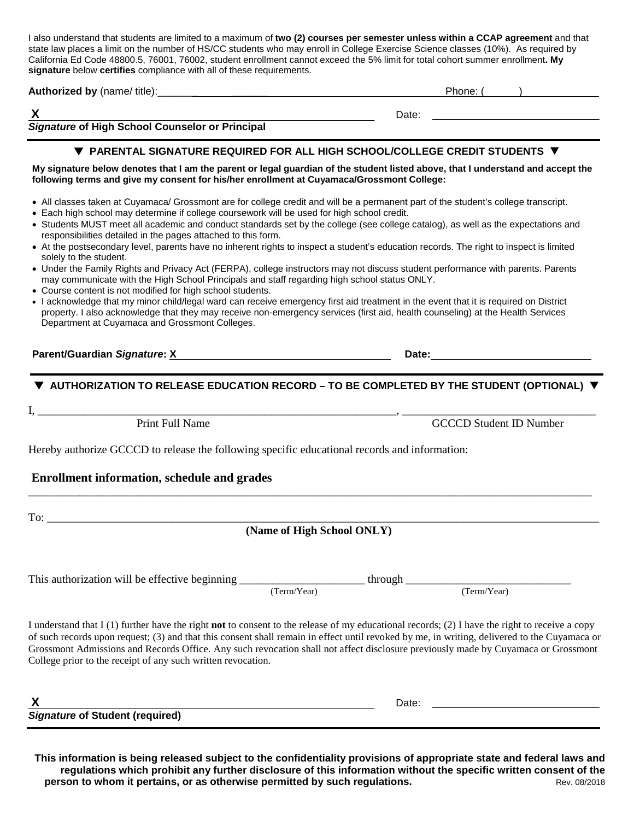I also understand that students are limited to a maximum of **two (2) courses per semester unless within a CCAP agreement** and that state law places a limit on the number of HS/CC students who may enroll in College Exercise Science classes (10%). As required by California Ed Code 48800.5, 76001, 76002, student enrollment cannot exceed the 5% limit for total cohort summer enrollment**. My signature** below **certifies** compliance with all of these requirements.

| Authorized by (name/ title): | Phone. |
|------------------------------|--------|
|                              |        |
|                              | Date:  |

*Signature* **of High School Counselor or Principal**

#### **PARENTAL SIGNATURE REQUIRED FOR ALL HIGH SCHOOL/COLLEGE CREDIT STUDENTS**

**My signature below denotes that I am the parent or legal guardian of the student listed above, that I understand and accept the following terms and give my consent for his/her enrollment at Cuyamaca/Grossmont College:**

- All classes taken at Cuyamaca/ Grossmont are for college credit and will be a permanent part of the student's college transcript.
- Each high school may determine if college coursework will be used for high school credit.
- Students MUST meet all academic and conduct standards set by the college (see college catalog), as well as the expectations and responsibilities detailed in the pages attached to this form.
- At the postsecondary level, parents have no inherent rights to inspect a student's education records. The right to inspect is limited solely to the student.
- Under the Family Rights and Privacy Act (FERPA), college instructors may not discuss student performance with parents. Parents may communicate with the High School Principals and staff regarding high school status ONLY.
- Course content is not modified for high school students.
- I acknowledge that my minor child/legal ward can receive emergency first aid treatment in the event that it is required on District property. I also acknowledge that they may receive non-emergency services (first aid, health counseling) at the Health Services Department at Cuyamaca and Grossmont Colleges.

#### **Parent/Guardian Signature:**  $\underline{X}$  **Date: Date: Date: Date: Date: Date: Date: Date: Date: Date: Date: Date: Date: Date: Date: Date: Date: Date: Date: Date: Distingly and <b>D** and

#### **AUTHORIZATION TO RELEASE EDUCATION RECORD – TO BE COMPLETED BY THE STUDENT (OPTIONAL)**

I, \_\_\_\_\_\_\_\_\_\_\_\_\_\_\_\_\_\_\_\_\_\_\_\_\_\_\_\_\_\_\_\_\_\_\_\_\_\_\_\_\_\_\_\_\_\_\_\_\_\_\_\_\_\_\_\_\_\_\_\_\_\_\_, \_\_\_\_\_\_\_\_\_\_\_\_\_\_\_\_\_\_\_\_\_\_\_\_\_\_\_\_\_\_\_\_\_\_

Print Full Name GCCCD Student ID Number

Hereby authorize GCCCD to release the following specific educational records and information:

#### **Enrollment information, schedule and grades**

To: \_\_\_\_\_\_\_\_\_\_\_\_\_\_\_\_\_\_\_\_\_\_\_\_\_\_\_\_\_\_\_\_\_\_\_\_\_\_\_\_\_\_\_\_\_\_\_\_\_\_\_\_\_\_\_\_\_\_\_\_\_\_\_\_\_\_\_\_\_\_\_\_\_\_\_\_\_\_\_\_\_\_\_\_\_\_\_\_\_\_\_\_\_\_\_\_\_

 **(Name of High School ONLY)**

\_\_\_\_\_\_\_\_\_\_\_\_\_\_\_\_\_\_\_\_\_\_\_\_\_\_\_\_\_\_\_\_\_\_\_\_\_\_\_\_\_\_\_\_\_\_\_\_\_\_\_\_\_\_\_\_\_\_\_\_\_\_\_\_\_\_\_\_\_\_\_\_\_\_\_\_\_\_\_\_\_\_\_\_\_\_\_\_\_\_\_\_\_\_\_\_\_\_\_

This authorization will be effective beginning \_\_\_\_\_\_\_\_\_\_\_\_\_\_\_\_\_\_\_\_\_\_ through \_\_\_\_\_\_\_\_\_\_\_\_\_\_\_\_\_\_\_\_\_\_\_\_\_\_\_\_\_ (Term/Year) (Term/Year)

I understand that I (1) further have the right **not** to consent to the release of my educational records; (2) I have the right to receive a copy of such records upon request; (3) and that this consent shall remain in effect until revoked by me, in writing, delivered to the Cuyamaca or Grossmont Admissions and Records Office. Any such revocation shall not affect disclosure previously made by Cuyamaca or Grossmont College prior to the receipt of any such written revocation.

| v<br>Δ                                 | Date <sup>-</sup> |
|----------------------------------------|-------------------|
| <b>Signature of Student (required)</b> |                   |

**This information is being released subject to the confidentiality provisions of appropriate state and federal laws and regulations which prohibit any further disclosure of this information without the specific written consent of the person to whom it pertains, or as otherwise permitted by such regulations.** The result of the Rev. 08/2018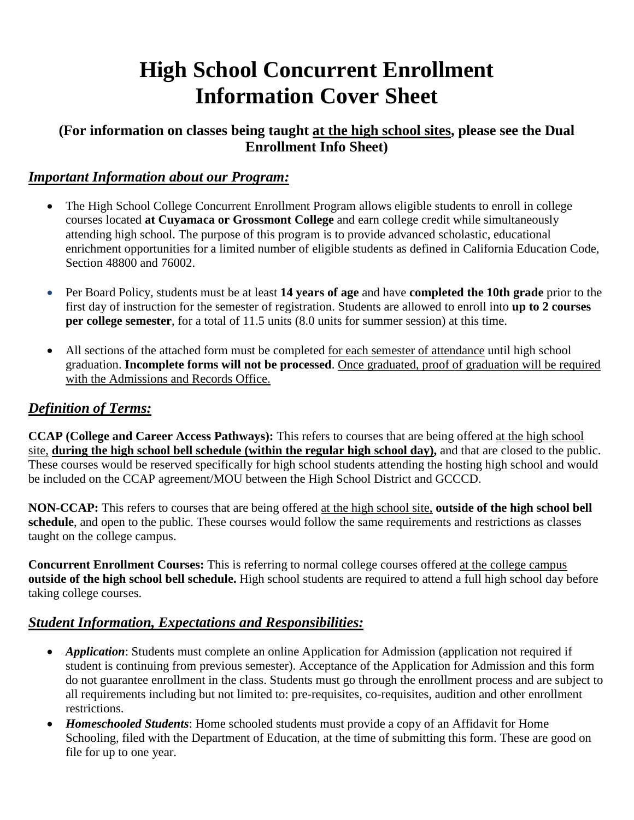## **High School Concurrent Enrollment Information Cover Sheet**

## **(For information on classes being taught at the high school sites, please see the Dual Enrollment Info Sheet)**

#### *Important Information about our Program:*

- The High School College Concurrent Enrollment Program allows eligible students to enroll in college courses located **at Cuyamaca or Grossmont College** and earn college credit while simultaneously attending high school. The purpose of this program is to provide advanced scholastic, educational enrichment opportunities for a limited number of eligible students as defined in California Education Code, Section 48800 and 76002.
- Per Board Policy, students must be at least **14 years of age** and have **completed the 10th grade** prior to the first day of instruction for the semester of registration. Students are allowed to enroll into **up to 2 courses per college semester**, for a total of 11.5 units (8.0 units for summer session) at this time.
- All sections of the attached form must be completed for each semester of attendance until high school graduation. **Incomplete forms will not be processed**. Once graduated, proof of graduation will be required with the Admissions and Records Office.

### *Definition of Terms:*

**CCAP (College and Career Access Pathways):** This refers to courses that are being offered at the high school site, **during the high school bell schedule (within the regular high school day),** and that are closed to the public. These courses would be reserved specifically for high school students attending the hosting high school and would be included on the CCAP agreement/MOU between the High School District and GCCCD.

**NON-CCAP:** This refers to courses that are being offered at the high school site, **outside of the high school bell schedule**, and open to the public. These courses would follow the same requirements and restrictions as classes taught on the college campus.

**Concurrent Enrollment Courses:** This is referring to normal college courses offered at the college campus **outside of the high school bell schedule.** High school students are required to attend a full high school day before taking college courses.

## *Student Information, Expectations and Responsibilities:*

- *Application*: Students must complete an online Application for Admission (application not required if student is continuing from previous semester). Acceptance of the Application for Admission and this form do not guarantee enrollment in the class. Students must go through the enrollment process and are subject to all requirements including but not limited to: pre-requisites, co-requisites, audition and other enrollment restrictions.
- *Homeschooled Students*: Home schooled students must provide a copy of an Affidavit for Home Schooling, filed with the Department of Education, at the time of submitting this form. These are good on file for up to one year.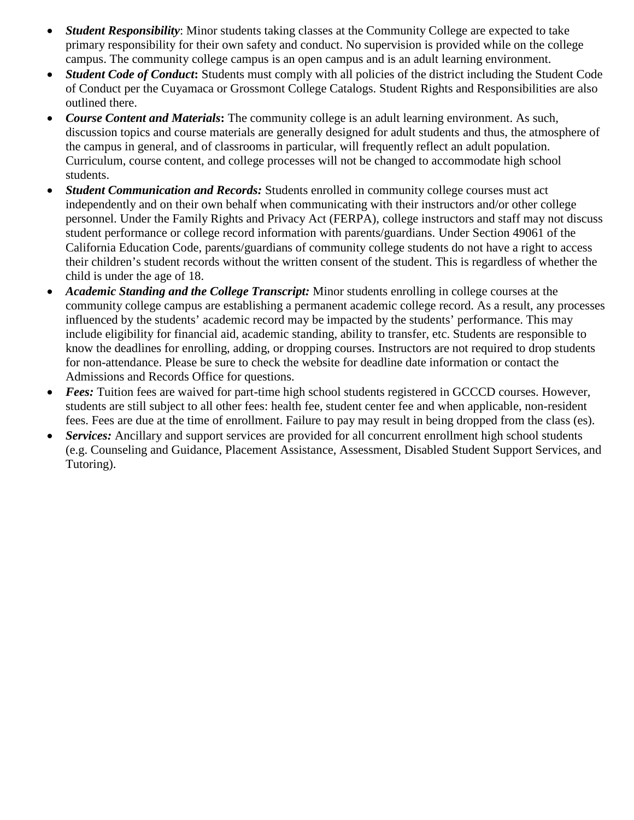- *Student Responsibility*: Minor students taking classes at the Community College are expected to take primary responsibility for their own safety and conduct. No supervision is provided while on the college campus. The community college campus is an open campus and is an adult learning environment.
- *Student Code of Conduct*: Students must comply with all policies of the district including the Student Code of Conduct per the Cuyamaca or Grossmont College Catalogs. Student Rights and Responsibilities are also outlined there.
- *Course Content and Materials***:** The community college is an adult learning environment. As such, discussion topics and course materials are generally designed for adult students and thus, the atmosphere of the campus in general, and of classrooms in particular, will frequently reflect an adult population. Curriculum, course content, and college processes will not be changed to accommodate high school students.
- *Student Communication and Records:* Students enrolled in community college courses must act independently and on their own behalf when communicating with their instructors and/or other college personnel. Under the Family Rights and Privacy Act (FERPA), college instructors and staff may not discuss student performance or college record information with parents/guardians. Under Section 49061 of the California Education Code, parents/guardians of community college students do not have a right to access their children's student records without the written consent of the student. This is regardless of whether the child is under the age of 18.
- *Academic Standing and the College Transcript:* Minor students enrolling in college courses at the community college campus are establishing a permanent academic college record. As a result, any processes influenced by the students' academic record may be impacted by the students' performance. This may include eligibility for financial aid, academic standing, ability to transfer, etc. Students are responsible to know the deadlines for enrolling, adding, or dropping courses. Instructors are not required to drop students for non-attendance. Please be sure to check the website for deadline date information or contact the Admissions and Records Office for questions.
- *Fees:* Tuition fees are waived for part-time high school students registered in GCCCD courses. However, students are still subject to all other fees: health fee, student center fee and when applicable, non-resident fees. Fees are due at the time of enrollment. Failure to pay may result in being dropped from the class (es).
- *Services:* Ancillary and support services are provided for all concurrent enrollment high school students (e.g. Counseling and Guidance, Placement Assistance, Assessment, Disabled Student Support Services, and Tutoring).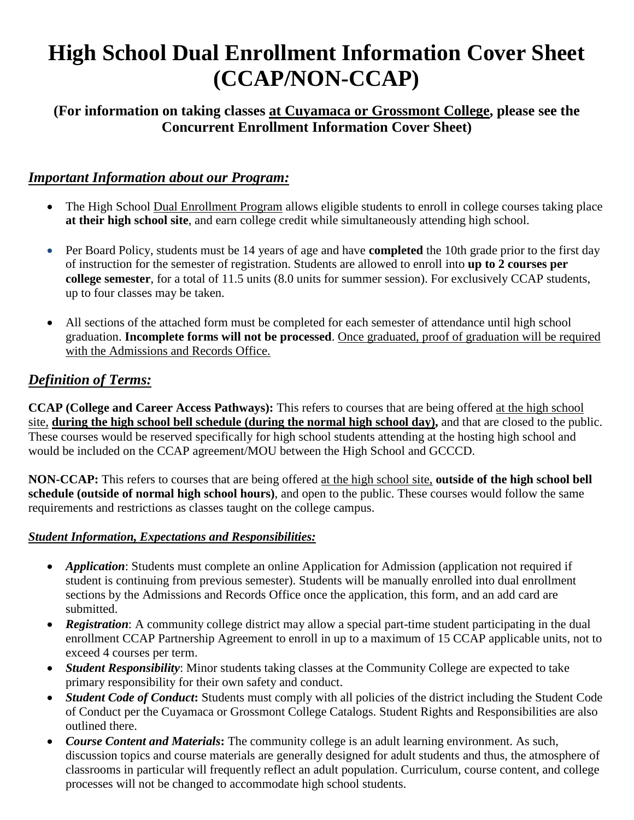# **High School Dual Enrollment Information Cover Sheet (CCAP/NON-CCAP)**

## **(For information on taking classes at Cuyamaca or Grossmont College, please see the Concurrent Enrollment Information Cover Sheet)**

### *Important Information about our Program:*

- The High School Dual Enrollment Program allows eligible students to enroll in college courses taking place **at their high school site**, and earn college credit while simultaneously attending high school.
- Per Board Policy, students must be 14 years of age and have **completed** the 10th grade prior to the first day of instruction for the semester of registration. Students are allowed to enroll into **up to 2 courses per college semester**, for a total of 11.5 units (8.0 units for summer session). For exclusively CCAP students, up to four classes may be taken.
- All sections of the attached form must be completed for each semester of attendance until high school graduation. **Incomplete forms will not be processed**. Once graduated, proof of graduation will be required with the Admissions and Records Office.

## *Definition of Terms:*

**CCAP (College and Career Access Pathways):** This refers to courses that are being offered at the high school site, **during the high school bell schedule (during the normal high school day),** and that are closed to the public. These courses would be reserved specifically for high school students attending at the hosting high school and would be included on the CCAP agreement/MOU between the High School and GCCCD.

**NON-CCAP:** This refers to courses that are being offered at the high school site, **outside of the high school bell schedule (outside of normal high school hours)**, and open to the public. These courses would follow the same requirements and restrictions as classes taught on the college campus.

#### *Student Information, Expectations and Responsibilities:*

- *Application*: Students must complete an online Application for Admission (application not required if student is continuing from previous semester). Students will be manually enrolled into dual enrollment sections by the Admissions and Records Office once the application, this form, and an add card are submitted.
- *Registration*: A community college district may allow a special part-time student participating in the dual enrollment CCAP Partnership Agreement to enroll in up to a maximum of 15 CCAP applicable units, not to exceed 4 courses per term.
- *Student Responsibility*: Minor students taking classes at the Community College are expected to take primary responsibility for their own safety and conduct.
- *Student Code of Conduct*: Students must comply with all policies of the district including the Student Code of Conduct per the Cuyamaca or Grossmont College Catalogs. Student Rights and Responsibilities are also outlined there.
- *Course Content and Materials***:** The community college is an adult learning environment. As such, discussion topics and course materials are generally designed for adult students and thus, the atmosphere of classrooms in particular will frequently reflect an adult population. Curriculum, course content, and college processes will not be changed to accommodate high school students.